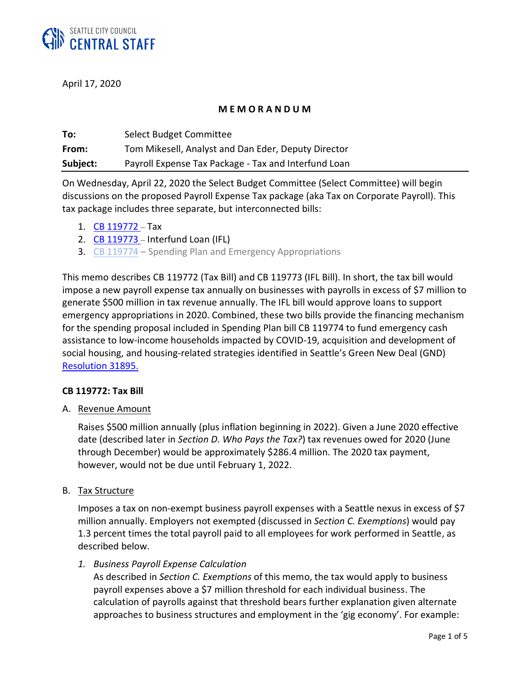

April 17, 2020

## **M E M O R A N D U M**

| To:      | Select Budget Committee                              |
|----------|------------------------------------------------------|
| From:    | Tom Mikesell, Analyst and Dan Eder, Deputy Director  |
| Subject: | Payroll Expense Tax Package - Tax and Interfund Loan |

On Wednesday, April 22, 2020 the Select Budget Committee (Select Committee) will begin discussions on the proposed Payroll Expense Tax package (aka Tax on Corporate Payroll). This tax package includes three separate, but interconnected bills:

- 1. [CB 119772](https://seattle.legistar.com/LegislationDetail.aspx?ID=4412726&GUID=CEFC5968-EFA3-4D3D-846C-A2223939CF21&Options=ID|Text|&Search=119774) Tax
- 2. [CB 119773](https://seattle.legistar.com/LegislationDetail.aspx?ID=4412727&GUID=1EBBFE05-A081-4749-B72E-65CFA50E1293&Options=ID|Text|&Search=119773) Interfund Loan (IFL)
- 3. [CB 119774](https://seattle.legistar.com/LegislationDetail.aspx?ID=4412728&GUID=1EBAED60-2217-473B-9A6C-0F611FA44C81&Options=ID|Text|&Search=119773) Spending Plan and Emergency Appropriations

This memo describes CB 119772 (Tax Bill) and CB 119773 (IFL Bill). In short, the tax bill would impose a new payroll expense tax annually on businesses with payrolls in excess of \$7 million to generate \$500 million in tax revenue annually. The IFL bill would approve loans to support emergency appropriations in 2020. Combined, these two bills provide the financing mechanism for the spending proposal included in Spending Plan bill CB 119774 to fund emergency cash assistance to low-income households impacted by COVID-19, acquisition and development of social housing, and housing-related strategies identified in Seattle's Green New Deal (GND) [Resolution 31895.](http://seattle.legistar.com/LegislationDetail.aspx?ID=4078775&GUID=A91E660A-1F3A-4545-8D24-281916F6EDB4)

### **CB 119772: Tax Bill**

A. Revenue Amount

Raises \$500 million annually (plus inflation beginning in 2022). Given a June 2020 effective date (described later in *Section D. Who Pays the Tax?*) tax revenues owed for 2020 (June through December) would be approximately \$286.4 million. The 2020 tax payment, however, would not be due until February 1, 2022.

B. Tax Structure

Imposes a tax on non-exempt business payroll expenses with a Seattle nexus in excess of \$7 million annually. Employers not exempted (discussed in *Section C. Exemptions*) would pay 1.3 percent times the total payroll paid to all employees for work performed in Seattle, as described below.

*1. Business Payroll Expense Calculation*

As described in *Section C. Exemptions* of this memo, the tax would apply to business payroll expenses above a \$7 million threshold for each individual business. The calculation of payrolls against that threshold bears further explanation given alternate approaches to business structures and employment in the 'gig economy'. For example: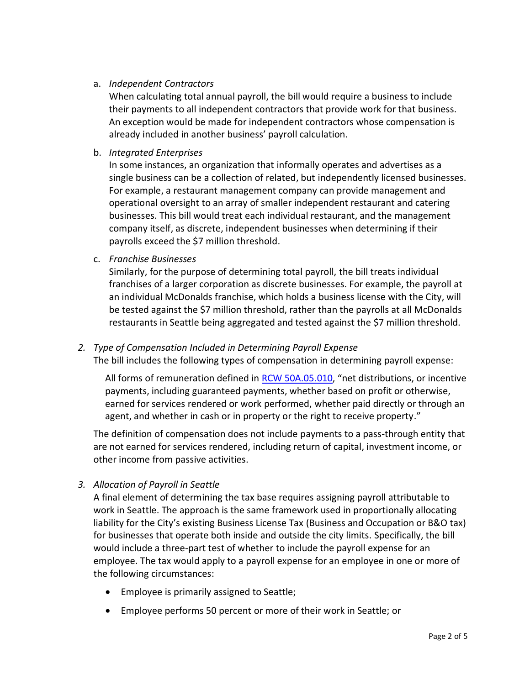# a. *Independent Contractors*

When calculating total annual payroll, the bill would require a business to include their payments to all independent contractors that provide work for that business. An exception would be made for independent contractors whose compensation is already included in another business' payroll calculation.

b. *Integrated Enterprises*

In some instances, an organization that informally operates and advertises as a single business can be a collection of related, but independently licensed businesses. For example, a restaurant management company can provide management and operational oversight to an array of smaller independent restaurant and catering businesses. This bill would treat each individual restaurant, and the management company itself, as discrete, independent businesses when determining if their payrolls exceed the \$7 million threshold.

c. *Franchise Businesses*

Similarly, for the purpose of determining total payroll, the bill treats individual franchises of a larger corporation as discrete businesses. For example, the payroll at an individual McDonalds franchise, which holds a business license with the City, will be tested against the \$7 million threshold, rather than the payrolls at all McDonalds restaurants in Seattle being aggregated and tested against the \$7 million threshold.

# *2. Type of Compensation Included in Determining Payroll Expense*

The bill includes the following types of compensation in determining payroll expense:

All forms of remuneration defined in [RCW 50A.05.010,](https://app.leg.wa.gov/RCW/default.aspx?cite=50A.05.010) "net distributions, or incentive payments, including guaranteed payments, whether based on profit or otherwise, earned for services rendered or work performed, whether paid directly or through an agent, and whether in cash or in property or the right to receive property."

The definition of compensation does not include payments to a pass-through entity that are not earned for services rendered, including return of capital, investment income, or other income from passive activities.

*3. Allocation of Payroll in Seattle*

A final element of determining the tax base requires assigning payroll attributable to work in Seattle. The approach is the same framework used in proportionally allocating liability for the City's existing Business License Tax (Business and Occupation or B&O tax) for businesses that operate both inside and outside the city limits. Specifically, the bill would include a three-part test of whether to include the payroll expense for an employee. The tax would apply to a payroll expense for an employee in one or more of the following circumstances:

- Employee is primarily assigned to Seattle;
- Employee performs 50 percent or more of their work in Seattle; or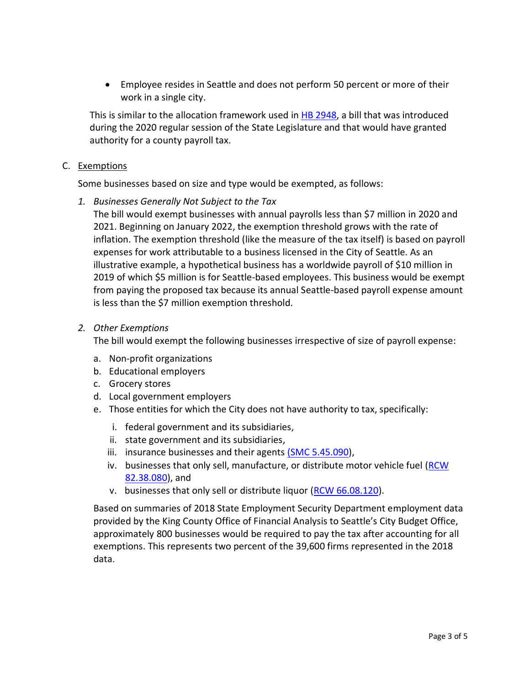• Employee resides in Seattle and does not perform 50 percent or more of their work in a single city.

This is similar to the allocation framework used in [HB 2948,](http://lawfilesext.leg.wa.gov/biennium/2019-20/Pdf/Bills/House%20Bills/2948.pdf?q=20200415132646) a bill that was introduced during the 2020 regular session of the State Legislature and that would have granted authority for a county payroll tax.

### C. Exemptions

Some businesses based on size and type would be exempted, as follows:

*1. Businesses Generally Not Subject to the Tax*

The bill would exempt businesses with annual payrolls less than \$7 million in 2020 and 2021. Beginning on January 2022, the exemption threshold grows with the rate of inflation. The exemption threshold (like the measure of the tax itself) is based on payroll expenses for work attributable to a business licensed in the City of Seattle. As an illustrative example, a hypothetical business has a worldwide payroll of \$10 million in 2019 of which \$5 million is for Seattle-based employees. This business would be exempt from paying the proposed tax because its annual Seattle-based payroll expense amount is less than the \$7 million exemption threshold.

### *2. Other Exemptions*

The bill would exempt the following businesses irrespective of size of payroll expense:

- a. Non-profit organizations
- b. Educational employers
- c. Grocery stores
- d. Local government employers
- e. Those entities for which the City does not have authority to tax, specifically:
	- i. federal government and its subsidiaries,
	- ii. state government and its subsidiaries,
	- iii. insurance businesses and their agents [\(SMC 5.45.090\)](https://library.municode.com/wa/seattle/codes/municipal_code?nodeId=TIT5REFITA_SUBTITLE_IITA_CH5.45BULITA_5.45.090EX),
	- iv. businesses that only sell, manufacture, or distribute motor vehicle fuel (RCW) [82.38.080\)](https://app.leg.wa.gov/RCW/default.aspx?cite=82.38.080), and
	- v. businesses that only sell or distribute liquor [\(RCW 66.08.120\)](https://app.leg.wa.gov/rcw/default.aspx?cite=66.08.120).

Based on summaries of 2018 State Employment Security Department employment data provided by the King County Office of Financial Analysis to Seattle's City Budget Office, approximately 800 businesses would be required to pay the tax after accounting for all exemptions. This represents two percent of the 39,600 firms represented in the 2018 data.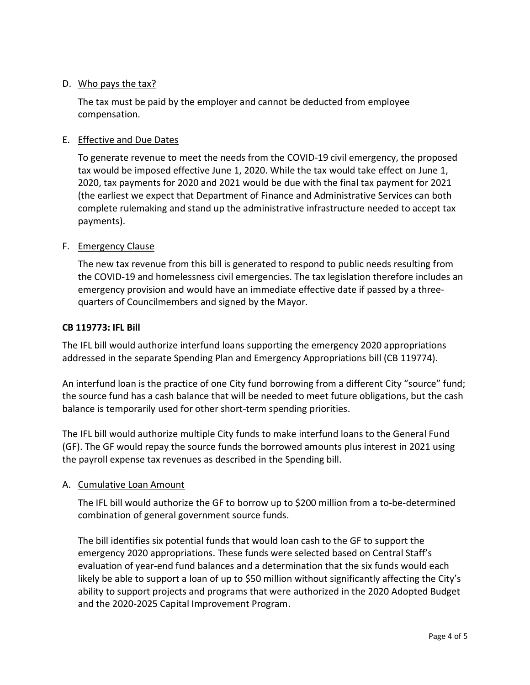## D. Who pays the tax?

The tax must be paid by the employer and cannot be deducted from employee compensation.

## E. Effective and Due Dates

To generate revenue to meet the needs from the COVID-19 civil emergency, the proposed tax would be imposed effective June 1, 2020. While the tax would take effect on June 1, 2020, tax payments for 2020 and 2021 would be due with the final tax payment for 2021 (the earliest we expect that Department of Finance and Administrative Services can both complete rulemaking and stand up the administrative infrastructure needed to accept tax payments).

### F. Emergency Clause

The new tax revenue from this bill is generated to respond to public needs resulting from the COVID-19 and homelessness civil emergencies. The tax legislation therefore includes an emergency provision and would have an immediate effective date if passed by a threequarters of Councilmembers and signed by the Mayor.

### **CB 119773: IFL Bill**

The IFL bill would authorize interfund loans supporting the emergency 2020 appropriations addressed in the separate Spending Plan and Emergency Appropriations bill (CB 119774).

An interfund loan is the practice of one City fund borrowing from a different City "source" fund; the source fund has a cash balance that will be needed to meet future obligations, but the cash balance is temporarily used for other short-term spending priorities.

The IFL bill would authorize multiple City funds to make interfund loans to the General Fund (GF). The GF would repay the source funds the borrowed amounts plus interest in 2021 using the payroll expense tax revenues as described in the Spending bill.

### A. Cumulative Loan Amount

The IFL bill would authorize the GF to borrow up to \$200 million from a to-be-determined combination of general government source funds.

The bill identifies six potential funds that would loan cash to the GF to support the emergency 2020 appropriations. These funds were selected based on Central Staff's evaluation of year-end fund balances and a determination that the six funds would each likely be able to support a loan of up to \$50 million without significantly affecting the City's ability to support projects and programs that were authorized in the 2020 Adopted Budget and the 2020-2025 Capital Improvement Program.